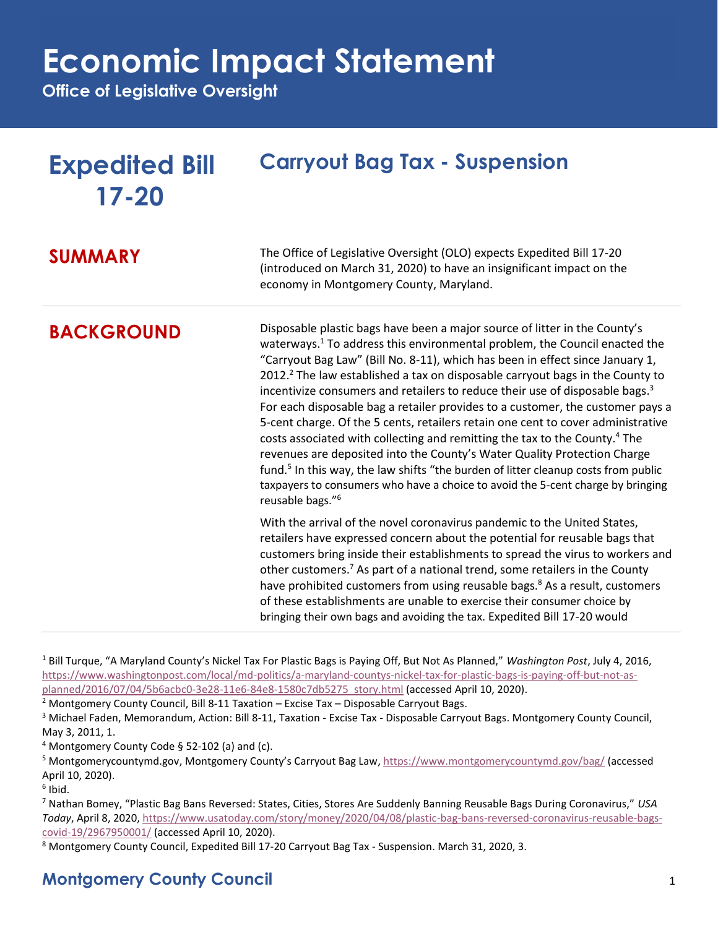## **Economic Impact Statement**

**Office of Legislative Oversight**

| <b>Expedited Bill</b><br>$17 - 20$ | <b>Carryout Bag Tax - Suspension</b>                                                                                                                                                                                                                                                                                                                                                                                                                                                                                                                                                                                                                                                                                                                                                                                                                                                                                                                                                                            |
|------------------------------------|-----------------------------------------------------------------------------------------------------------------------------------------------------------------------------------------------------------------------------------------------------------------------------------------------------------------------------------------------------------------------------------------------------------------------------------------------------------------------------------------------------------------------------------------------------------------------------------------------------------------------------------------------------------------------------------------------------------------------------------------------------------------------------------------------------------------------------------------------------------------------------------------------------------------------------------------------------------------------------------------------------------------|
| <b>SUMMARY</b>                     | The Office of Legislative Oversight (OLO) expects Expedited Bill 17-20<br>(introduced on March 31, 2020) to have an insignificant impact on the<br>economy in Montgomery County, Maryland.                                                                                                                                                                                                                                                                                                                                                                                                                                                                                                                                                                                                                                                                                                                                                                                                                      |
| <b>BACKGROUND</b>                  | Disposable plastic bags have been a major source of litter in the County's<br>waterways. <sup>1</sup> To address this environmental problem, the Council enacted the<br>"Carryout Bag Law" (Bill No. 8-11), which has been in effect since January 1,<br>2012. <sup>2</sup> The law established a tax on disposable carryout bags in the County to<br>incentivize consumers and retailers to reduce their use of disposable bags. <sup>3</sup><br>For each disposable bag a retailer provides to a customer, the customer pays a<br>5-cent charge. Of the 5 cents, retailers retain one cent to cover administrative<br>costs associated with collecting and remitting the tax to the County. <sup>4</sup> The<br>revenues are deposited into the County's Water Quality Protection Charge<br>fund. <sup>5</sup> In this way, the law shifts "the burden of litter cleanup costs from public<br>taxpayers to consumers who have a choice to avoid the 5-cent charge by bringing<br>reusable bags." <sup>6</sup> |
|                                    | With the arrival of the novel coronavirus pandemic to the United States,<br>retailers have expressed concern about the potential for reusable bags that<br>customers bring inside their establishments to spread the virus to workers and<br>other customers. <sup>7</sup> As part of a national trend, some retailers in the County<br>have prohibited customers from using reusable bags. <sup>8</sup> As a result, customers<br>of these establishments are unable to exercise their consumer choice by<br>bringing their own bags and avoiding the tax. Expedited Bill 17-20 would                                                                                                                                                                                                                                                                                                                                                                                                                          |

<sup>1</sup> Bill Turque, "A Maryland County's Nickel Tax For Plastic Bags is Paying Off, But Not As Planned," *Washington Post*, July 4, 2016, [https://www.washingtonpost.com/local/md-politics/a-maryland-countys-nickel-tax-for-plastic-bags-is-paying-off-but-not-as](https://www.washingtonpost.com/local/md-politics/a-maryland-countys-nickel-tax-for-plastic-bags-is-paying-off-but-not-as-planned/2016/07/04/5b6acbc0-3e28-11e6-84e8-1580c7db5275_story.html)[planned/2016/07/04/5b6acbc0-3e28-11e6-84e8-1580c7db5275\\_story.html](https://www.washingtonpost.com/local/md-politics/a-maryland-countys-nickel-tax-for-plastic-bags-is-paying-off-but-not-as-planned/2016/07/04/5b6acbc0-3e28-11e6-84e8-1580c7db5275_story.html) (accessed April 10, 2020).

 $2$  Montgomery County Council, Bill 8-11 Taxation – Excise Tax – Disposable Carryout Bags.

<sup>3</sup> Michael Faden, Memorandum, Action: Bill 8-11, Taxation - Excise Tax - Disposable Carryout Bags. Montgomery County Council, May 3, 2011, 1.

<sup>4</sup> Montgomery County Code § 52-102 (a) and (c).

<sup>5</sup> Montgomerycountymd.gov, Montgomery County's Carryout Bag Law, <https://www.montgomerycountymd.gov/bag/> (accessed April 10, 2020).

6 Ibid.

<sup>7</sup> Nathan Bomey, "Plastic Bag Bans Reversed: States, Cities, Stores Are Suddenly Banning Reusable Bags During Coronavirus," *USA Today*, April 8, 2020, [https://www.usatoday.com/story/money/2020/04/08/plastic-bag-bans-reversed-coronavirus-reusable-bags](https://www.usatoday.com/story/money/2020/04/08/plastic-bag-bans-reversed-coronavirus-reusable-bags-covid-19/2967950001/)[covid-19/2967950001/](https://www.usatoday.com/story/money/2020/04/08/plastic-bag-bans-reversed-coronavirus-reusable-bags-covid-19/2967950001/) (accessed April 10, 2020).

<sup>8</sup> Montgomery County Council, Expedited Bill 17-20 Carryout Bag Tax - Suspension. March 31, 2020, 3.

### **Montgomery County Council** 1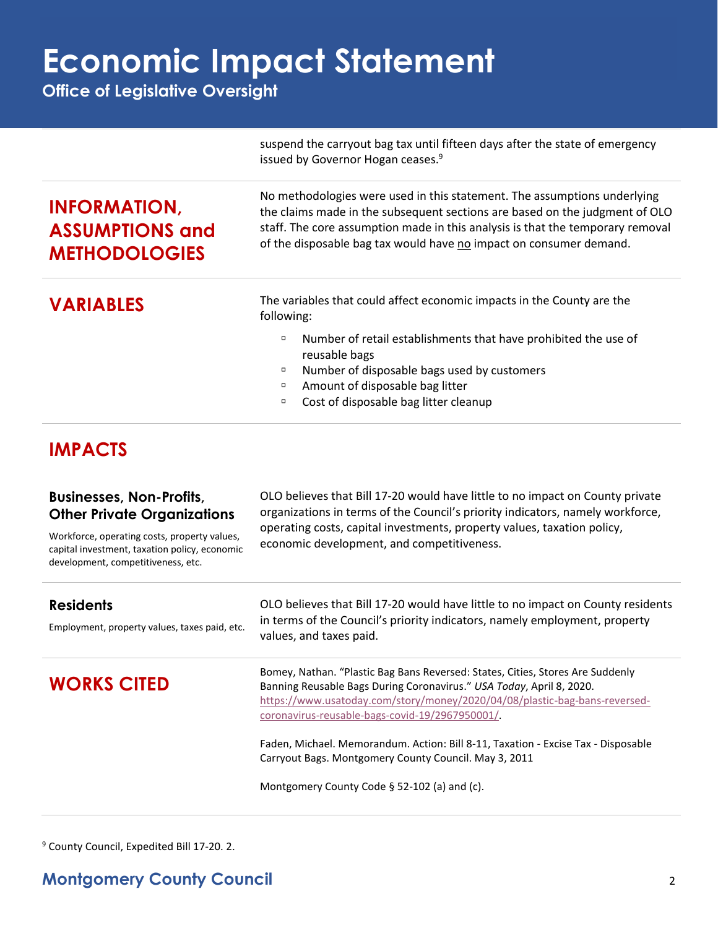# **Economic Impact Statement**

**Office of Legislative Oversight**

|                                                                                                                                     | suspend the carryout bag tax until fifteen days after the state of emergency<br>issued by Governor Hogan ceases. <sup>9</sup>                                                                                                                                                                                   |
|-------------------------------------------------------------------------------------------------------------------------------------|-----------------------------------------------------------------------------------------------------------------------------------------------------------------------------------------------------------------------------------------------------------------------------------------------------------------|
| <b>INFORMATION,</b><br><b>ASSUMPTIONS and</b><br><b>METHODOLOGIES</b>                                                               | No methodologies were used in this statement. The assumptions underlying<br>the claims made in the subsequent sections are based on the judgment of OLO<br>staff. The core assumption made in this analysis is that the temporary removal<br>of the disposable bag tax would have no impact on consumer demand. |
| <b>VARIABLES</b>                                                                                                                    | The variables that could affect economic impacts in the County are the<br>following:                                                                                                                                                                                                                            |
|                                                                                                                                     | Number of retail establishments that have prohibited the use of<br>Π                                                                                                                                                                                                                                            |
|                                                                                                                                     | reusable bags                                                                                                                                                                                                                                                                                                   |
|                                                                                                                                     | Number of disposable bags used by customers<br>α                                                                                                                                                                                                                                                                |
|                                                                                                                                     | Amount of disposable bag litter<br>ο<br>Cost of disposable bag litter cleanup<br>Ο                                                                                                                                                                                                                              |
|                                                                                                                                     |                                                                                                                                                                                                                                                                                                                 |
| <b>IMPACTS</b>                                                                                                                      |                                                                                                                                                                                                                                                                                                                 |
| <b>Businesses, Non-Profits,</b><br><b>Other Private Organizations</b>                                                               | OLO believes that Bill 17-20 would have little to no impact on County private<br>organizations in terms of the Council's priority indicators, namely workforce,                                                                                                                                                 |
| Workforce, operating costs, property values,<br>capital investment, taxation policy, economic<br>development, competitiveness, etc. | operating costs, capital investments, property values, taxation policy,<br>economic development, and competitiveness.                                                                                                                                                                                           |
| <b>Residents</b>                                                                                                                    | OLO believes that Bill 17-20 would have little to no impact on County residents                                                                                                                                                                                                                                 |
| Employment, property values, taxes paid, etc.                                                                                       | in terms of the Council's priority indicators, namely employment, property<br>values, and taxes paid.                                                                                                                                                                                                           |
| <b>WORKS CITED</b>                                                                                                                  | Bomey, Nathan. "Plastic Bag Bans Reversed: States, Cities, Stores Are Suddenly<br>Banning Reusable Bags During Coronavirus." USA Today, April 8, 2020.<br>https://www.usatoday.com/story/money/2020/04/08/plastic-bag-bans-reversed-<br>coronavirus-reusable-bags-covid-19/2967950001/                          |
|                                                                                                                                     | Faden, Michael. Memorandum. Action: Bill 8-11, Taxation - Excise Tax - Disposable                                                                                                                                                                                                                               |

Carryout Bags. Montgomery County Council. May 3, 2011

Montgomery County Code § 52-102 (a) and (c).

<sup>9</sup> County Council, Expedited Bill 17-20. 2.